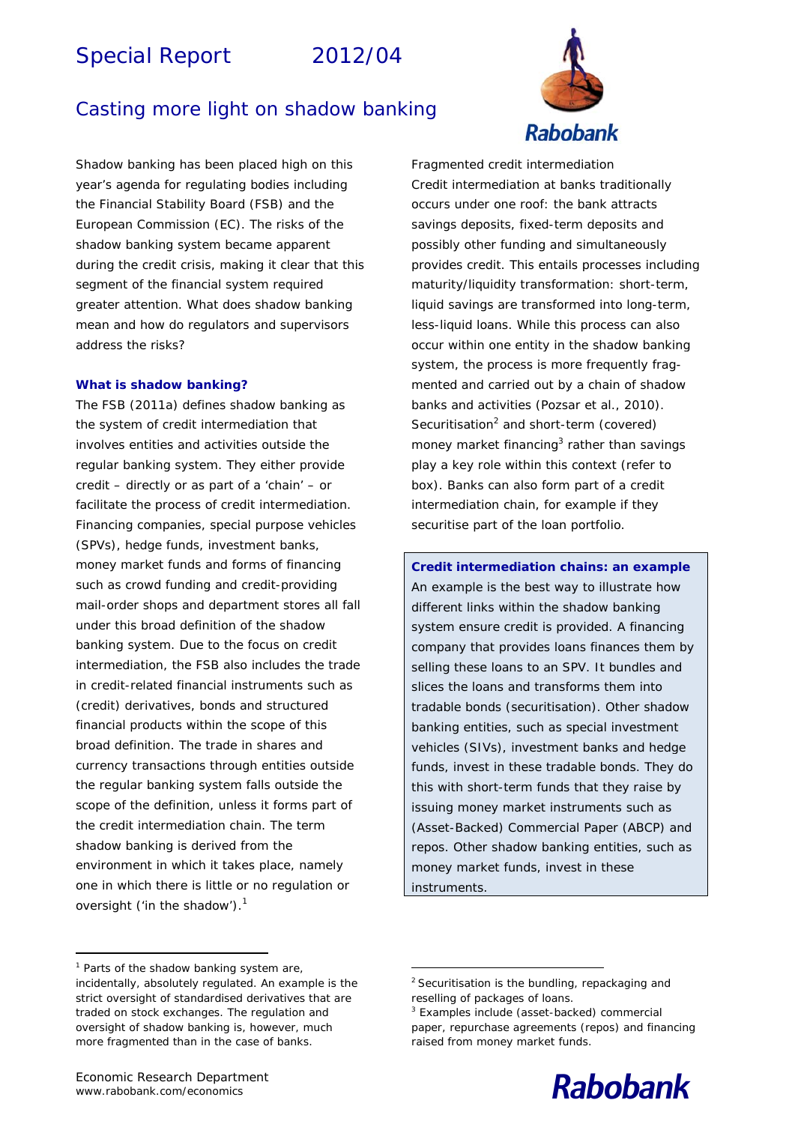# Special Report 2012/04



# Casting more light on shadow banking

*Shadow banking has been placed high on this year's agenda for regulating bodies including the Financial Stability Board (FSB) and the European Commission (EC). The risks of the shadow banking system became apparent during the credit crisis, making it clear that this segment of the financial system required greater attention. What does shadow banking mean and how do regulators and supervisors address the risks?* 

#### **What is shadow banking?**

The FSB (2011a) defines *shadow banking* as the system of credit intermediation that involves entities and activities outside the regular banking system. They either provide credit – directly or as part of a 'chain' – or facilitate the process of credit intermediation. Financing companies, special purpose vehicles (SPVs), hedge funds, investment banks, money market funds and forms of financing such as crowd funding and credit-providing mail-order shops and department stores all fall under this broad definition of the shadow banking system. Due to the focus on credit intermediation, the FSB also includes the trade in credit-related financial instruments such as (credit) derivatives, bonds and structured financial products within the scope of this broad definition. The trade in shares and currency transactions through entities outside the regular banking system falls outside the scope of the definition, unless it forms part of the credit intermediation chain. The term shadow banking is derived from the environment in which it takes place, namely one in which there is little or no regulation or oversight ('in the shadow').<sup>1</sup>

*Fragmented credit intermediation*  Credit intermediation at banks traditionally occurs under one roof: the bank attracts savings deposits, fixed-term deposits and possibly other funding and simultaneously provides credit. This entails processes including maturity/liquidity transformation: short-term, liquid savings are transformed into long-term, less-liquid loans. While this process can also occur within one entity in the shadow banking system, the process is more frequently fragmented and carried out by a chain of shadow banks and activities (Pozsar et al., 2010). Securitisation<sup>2</sup> and short-term (covered) money market financing<sup>3</sup> rather than savings play a key role within this context (refer to box). Banks can also form part of a credit intermediation chain, for example if they securitise part of the loan portfolio.

**Credit intermediation chains: an example**  An example is the best way to illustrate how different links within the shadow banking system ensure credit is provided. A financing company that provides loans finances them by selling these loans to an SPV. It bundles and slices the loans and transforms them into tradable bonds (securitisation). Other shadow banking entities, such as special investment vehicles (SIVs), investment banks and hedge funds, invest in these tradable bonds. They do this with short-term funds that they raise by issuing money market instruments such as (Asset-Backed) Commercial Paper (ABCP) and repos*.* Other shadow banking entities, such as money market funds, invest in these instruments.



<sup>&</sup>lt;sup>1</sup> Parts of the shadow banking system are, incidentally, absolutely regulated. An example is the strict oversight of standardised derivatives that are traded on stock exchanges. The regulation and oversight of shadow banking is, however, much more fragmented than in the case of banks.

 $2$  Securitisation is the bundling, repackaging and reselling of packages of loans.

<sup>3</sup> Examples include (asset-backed) commercial paper, repurchase agreements (repos) and financing raised from money market funds.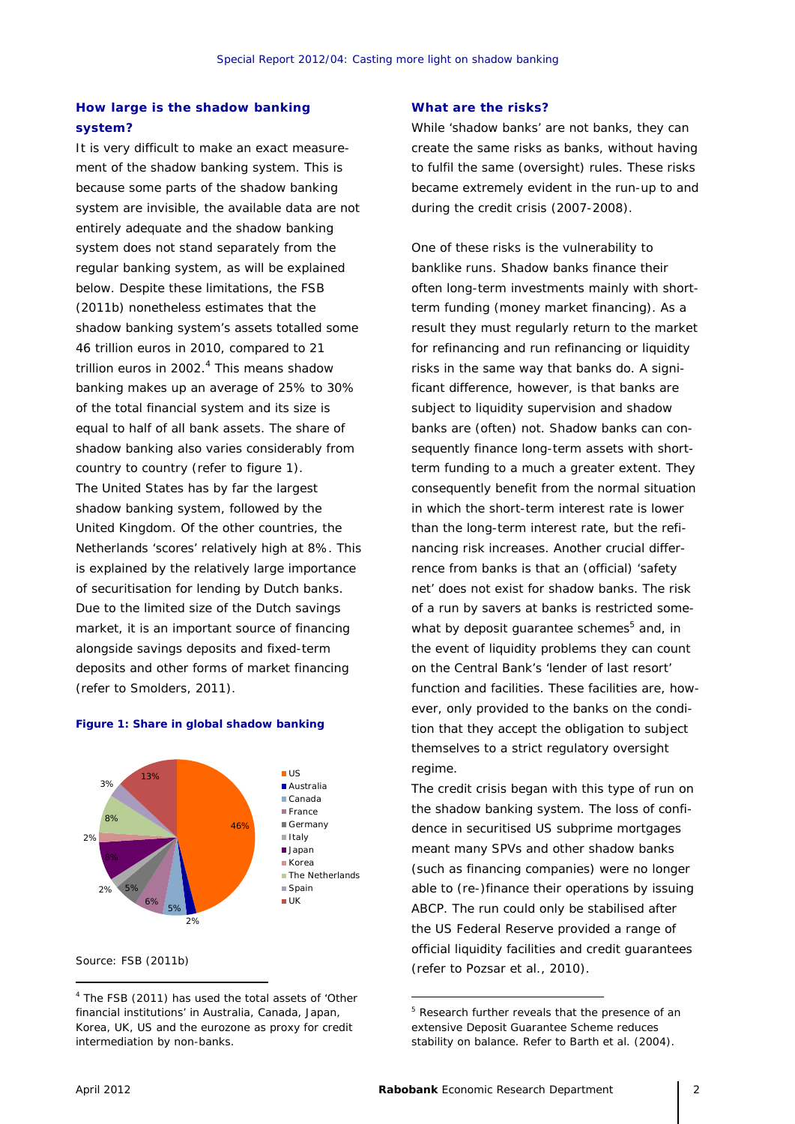## **How large is the shadow banking system?**

It is very difficult to make an exact measurement of the shadow banking system. This is because some parts of the shadow banking system are invisible, the available data are not entirely adequate and the shadow banking system does not stand separately from the regular banking system, as will be explained below. Despite these limitations, the FSB (2011b) nonetheless estimates that the shadow banking system's assets totalled some 46 trillion euros in 2010, compared to 21 trillion euros in 2002.<sup>4</sup> This means shadow banking makes up an average of 25% to 30% of the total financial system and its size is equal to half of all bank assets. The share of shadow banking also varies considerably from country to country (refer to figure 1). The United States has by far the largest shadow banking system, followed by the United Kingdom. Of the other countries, the Netherlands 'scores' relatively high at 8%. This is explained by the relatively large importance of securitisation for lending by Dutch banks. Due to the limited size of the Dutch savings market, it is an important source of financing alongside savings deposits and fixed-term deposits and other forms of market financing (refer to Smolders, 2011).

#### 46% 2% 5% 6% 2% 5%  $20/2$ 8% 3% 13% US ■ Australia ■ Canada **France** ■Germany **■Italy Japan** Korea The Netherlands **Spain** UK

**Figure 1: Share in global shadow banking** 

#### Source: FSB (2011b)

#### **What are the risks?**

While 'shadow banks' are not banks, they can create the same risks as banks, without having to fulfil the same (oversight) rules. These risks became extremely evident in the run-up to and during the credit crisis (2007-2008).

One of these risks is the *vulnerability to banklike runs.* Shadow banks finance their often long-term investments mainly with shortterm funding (money market financing). As a result they must regularly return to the market for refinancing and run refinancing or liquidity risks in the same way that banks do. A significant difference, however, is that banks are subject to liquidity supervision and shadow banks are (often) not. Shadow banks can consequently finance long-term assets with shortterm funding to a much a greater extent. They consequently benefit from the normal situation in which the short-term interest rate is lower than the long-term interest rate, but the refinancing risk increases. Another crucial differrence from banks is that an (official) 'safety net' does not exist for shadow banks. The risk of a run by savers at banks is restricted somewhat by deposit guarantee schemes<sup>5</sup> and, in the event of liquidity problems they can count on the Central Bank's 'lender of last resort' function and facilities. These facilities are, however, only provided to the banks on the condition that they accept the obligation to subject themselves to a strict regulatory oversight regime.

The credit crisis began with this type of run on the shadow banking system. The loss of confidence in securitised US subprime mortgages meant many SPVs and other shadow banks (such as financing companies) were no longer able to (re-)finance their operations by issuing ABCP. The run could only be stabilised after the US Federal Reserve provided a range of official liquidity facilities and credit guarantees (refer to Pozsar et al., 2010).

<sup>&</sup>lt;sup>4</sup> The FSB (2011) has used the total assets of 'Other financial institutions' in Australia, Canada, Japan, Korea, UK, US and the eurozone as proxy for credit intermediation by non-banks.

<sup>&</sup>lt;sup>5</sup> Research further reveals that the presence of an extensive Deposit Guarantee Scheme reduces stability on balance. Refer to Barth et al. (2004).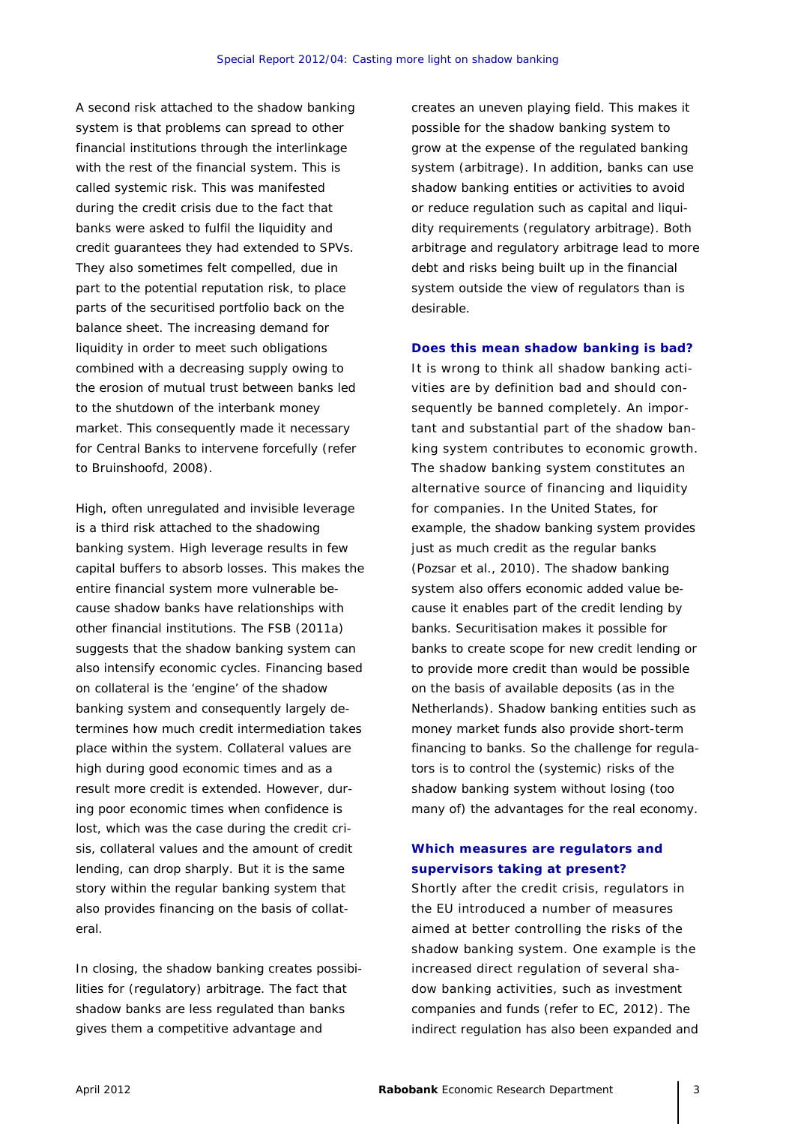A second risk attached to the shadow banking system is that *problems can spread to other financial institutions through the interlinkage with the rest of the financial system.* This is called *systemic risk*. This was manifested during the credit crisis due to the fact that banks were asked to fulfil the liquidity and credit guarantees they had extended to SPVs. They also sometimes felt compelled, due in part to the potential reputation risk, to place parts of the securitised portfolio back on the balance sheet. The increasing demand for liquidity in order to meet such obligations combined with a decreasing supply owing to the erosion of mutual trust between banks led to the shutdown of the interbank money market. This consequently made it necessary for Central Banks to intervene forcefully (refer to Bruinshoofd, 2008).

*High, often unregulated and invisible leverage*  is a third risk attached to the shadowing banking system. High leverage results in few capital buffers to absorb losses. This makes the entire financial system more vulnerable because shadow banks have relationships with other financial institutions. The FSB (2011a) suggests that the shadow banking system can also intensify economic cycles. Financing based on collateral is the 'engine' of the shadow banking system and consequently largely determines how much credit intermediation takes place within the system. Collateral values are high during good economic times and as a result more credit is extended. However, during poor economic times when confidence is lost, which was the case during the credit crisis, collateral values and the amount of credit lending, can drop sharply. But it is the same story within the regular banking system that also provides financing on the basis of collateral.

In closing, the shadow banking creates *possibilities for (regulatory) arbitrage.* The fact that shadow banks are less regulated than banks gives them a competitive advantage and

creates an uneven playing field. This makes it possible for the shadow banking system to grow at the expense of the regulated banking system (arbitrage). In addition, banks can use shadow banking entities or activities to avoid or reduce regulation such as capital and liquidity requirements (regulatory arbitrage). Both arbitrage and regulatory arbitrage lead to more debt and risks being built up in the financial system outside the view of regulators than is desirable.

**Does this mean shadow banking is bad?**

It is wrong to think all shadow banking activities are by definition bad and should consequently be banned completely. An important and substantial part of the shadow banking system contributes to economic growth. The shadow banking system constitutes an alternative source of financing and liquidity for companies. In the United States, for example, the shadow banking system provides just as much credit as the regular banks (Pozsar et al., 2010). The shadow banking system also offers economic added value because it enables part of the credit lending by banks. Securitisation makes it possible for banks to create scope for new credit lending or to provide more credit than would be possible on the basis of available deposits (as in the Netherlands). Shadow banking entities such as money market funds also provide short-term financing to banks. So the challenge for regulators is to control the (systemic) risks of the shadow banking system without losing (too many of) the advantages for the real economy.

### **Which measures are regulators and supervisors taking at present?**

Shortly after the credit crisis, regulators in the EU introduced a number of measures aimed at better controlling the risks of the shadow banking system. One example is the increased direct regulation of several shadow banking activities, such as investment companies and funds (refer to EC, 2012). The indirect regulation has also been expanded and